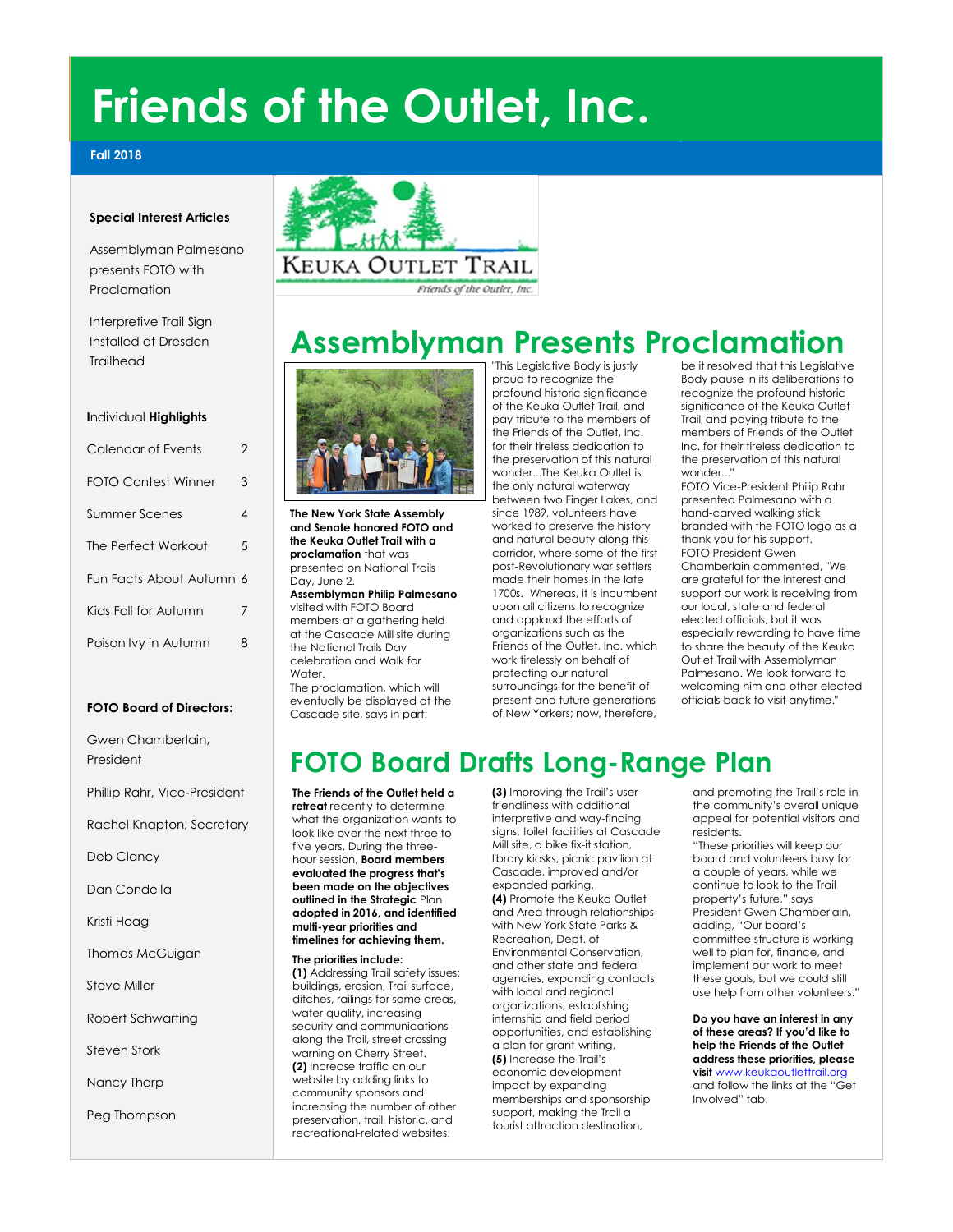# **Friends of the Outlet, Inc.**

### **Fall 2018**

### **Special Interest Articles**

Assemblyman Palmesano presents FOTO with Proclamation

Interpretive Trail Sign Installed at Dresden Trailhead

#### **I**ndividual **Highlights**

| Calendar of Events         | 2 |
|----------------------------|---|
| <b>FOTO Contest Winner</b> | 3 |
| Summer Scenes              | 4 |
| The Perfect Workout        | 5 |
| Fun Facts About Autumn 6   |   |
| Kids Fall for Autumn       | 7 |
| Poison Ivy in Autumn       | 8 |

### **FOTO Board of Directors:**

Gwen Chamberlain, President

Phillip Rahr, Vice-President

Rachel Knapton, Secretary

Deb Clancy

Dan Condella

Kristi Hoag

Thomas McGuigan

Steve Miller

Robert Schwarting

Steven Stork

Nancy Tharp

Peg Thompson



## **Assemblyman Presents Proclamation**



**The New York State Assembly and Senate honored FOTO and the Keuka Outlet Trail with a proclamation** that was presented on National Trails Day, June 2. **Assemblyman Philip Palmesano** visited with FOTO Board

members at a gathering held at the Cascade Mill site during the National Trails Day celebration and Walk for Water The proclamation, which will

eventually be displayed at the Cascade site, says in part:

"This Legislative Body is justly proud to recognize the profound historic significance of the Keuka Outlet Trail, and pay tribute to the members of the Friends of the Outlet, Inc. for their tireless dedication to the preservation of this natural wonder...The Keuka Outlet is the only natural waterway between two Finger Lakes, and since 1989, volunteers have worked to preserve the history and natural beauty along this corridor, where some of the first post-Revolutionary war settlers made their homes in the late 1700s. Whereas, it is incumbent upon all citizens to recognize and applaud the efforts of organizations such as the Friends of the Outlet, Inc. which work tirelessly on behalf of protecting our natural surroundings for the benefit of present and future generations of New Yorkers; now, therefore,

be it resolved that this Legislative Body pause in its deliberations to recognize the profound historic significance of the Keuka Outlet Trail, and paying tribute to the members of Friends of the Outlet Inc. for their tireless dedication to the preservation of this natural wonder..."

FOTO Vice-President Philip Rahr presented Palmesano with a hand-carved walking stick branded with the FOTO logo as a thank you for his support. FOTO President Gwen

Chamberlain commented, "We are grateful for the interest and support our work is receiving from our local, state and federal elected officials, but it was especially rewarding to have time to share the beauty of the Keuka Outlet Trail with Assemblyman Palmesano. We look forward to welcoming him and other elected officials back to visit anytime."

## **FOTO Board Drafts Long-Range Plan**

**The Friends of the Outlet held a retreat** recently to determine what the organization wants to look like over the next three to five years. During the threehour session, **Board members evaluated the progress that's been made on the objectives outlined in the Strategic** Plan **adopted in 2016, and identified multi-year priorities and timelines for achieving them.** 

#### **The priorities include:**

1. **(1)** Addressing Trail safety issues: buildings, erosion, Trail surface, ditches, railings for some areas, water quality, increasing security and communications along the Trail, street crossing warning on Cherry Street. 2. **(2)** Increase traffic on our website by adding links to community sponsors and increasing the number of other preservation, trail, historic, and recreational-related websites.

3. **(3)** Improving the Trail's userfriendliness with additional interpretive and way-finding signs, toilet facilities at Cascade Mill site, a bike fix-it station, library kiosks, picnic pavilion at Cascade, improved and/or expanded parking, 4. **(4)** Promote the Keuka Outlet and Area through relationships with New York State Parks & Recreation, Dept. of Environmental Conservation, and other state and federal agencies, expanding contacts with local and regional organizations, establishing internship and field period opportunities, and establishing a plan for grant-writing. 5. **(5)** Increase the Trail's economic development impact by expanding memberships and sponsorship support, making the Trail a tourist attraction destination,

and promoting the Trail's role in the community's overall unique appeal for potential visitors and residents.

"These priorities will keep our board and volunteers busy for a couple of years, while we continue to look to the Trail property's future," says President Gwen Chamberlain, adding, "Our board's committee structure is working well to plan for, finance, and implement our work to meet these goals, but we could still use help from other volunteers."

**Do you have an interest in any of these areas? If you'd like to help the Friends of the Outlet address these priorities, please visit** [www.keukaoutlettrail.org](http://www.keukaoutlettrail.org/) and follow the links at the "Get Involved" tab.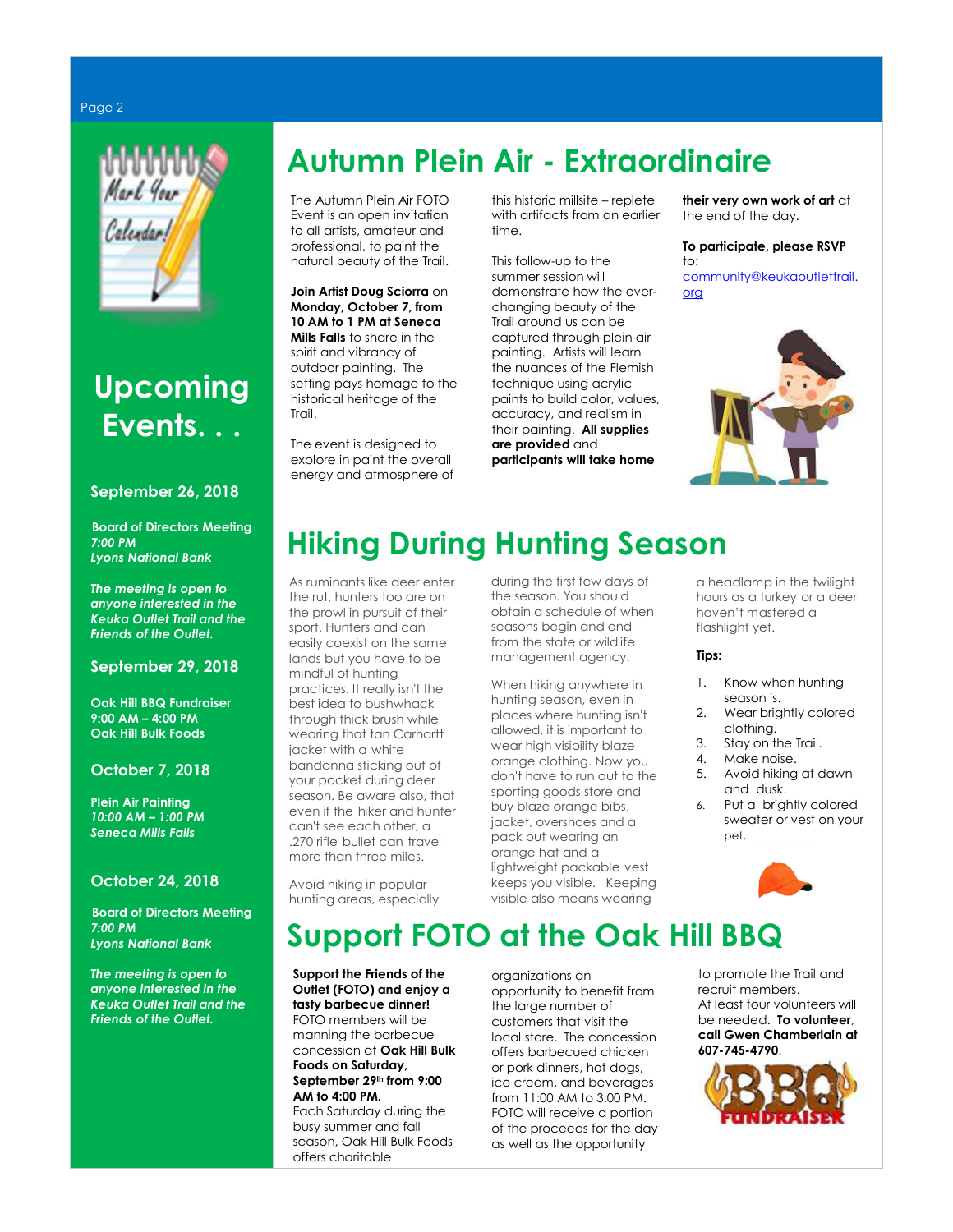#### Page 2



## **Upcoming Events. . .**

### **September 26, 2018**

**Board of Directors Meeting** *7:00 PM Lyons National Bank*

*The meeting is open to anyone interested in the Keuka Outlet Trail and the Friends of the Outlet.*

### **September 29, 2018**

**Oak Hill BBQ Fundraiser 9:00 AM – 4:00 PM Oak Hill Bulk Foods**

### **October 7, 2018**

**Plein Air Painting** *10:00 AM – 1:00 PM Seneca Mills Falls*

### **October 24, 2018**

**Board of Directors Meeting** *7:00 PM Lyons National Bank*

*The meeting is open to anyone interested in the Keuka Outlet Trail and the Friends of the Outlet.*

## **Autumn Plein Air - Extraordinaire**

The Autumn Plein Air FOTO Event is an open invitation to all artists, amateur and professional, to paint the natural beauty of the Trail.

**Join Artist Doug Sciorra** on **Monday, October 7, from 10 AM to 1 PM at Seneca Mills Falls** to share in the spirit and vibrancy of outdoor painting. The setting pays homage to the historical heritage of the Trail.

The event is designed to explore in paint the overall energy and atmosphere of this historic millsite – replete with artifacts from an earlier time.

This follow-up to the summer session will demonstrate how the everchanging beauty of the Trail around us can be captured through plein air painting. Artists will learn the nuances of the Flemish technique using acrylic paints to build color, values, accuracy, and realism in their painting. **All supplies are provided** and **participants will take home**

**their very own work of art** at the end of the day.

**To participate, please RSVP** to:

[community@keukaoutlettrail.](mailto:community@keukaoutlettrail.org) [org](mailto:community@keukaoutlettrail.org)



## **Hiking During Hunting Season**

As ruminants like deer enter the rut, hunters too are on the prowl in pursuit of their sport. Hunters and can easily coexist on the same lands but you have to be mindful of hunting practices. It really isn't the best idea to bushwhack through thick brush while wearing that tan Carhartt jacket with a white bandanna sticking out of your pocket during deer season. Be aware also, that even if the hiker and hunter can't see each other, a .270 rifle bullet can travel more than three miles.

Avoid hiking in popular hunting areas, especially during the first few days of the season. You should obtain a schedule of when seasons begin and end from the state or wildlife management agency.

When hiking anywhere in hunting season, even in places where hunting isn't allowed, it is important to wear high visibility blaze orange clothing. Now you don't have to run out to the sporting goods store and buy blaze orange bibs, jacket, overshoes and a pack but wearing an orange hat and a lightweight packable vest keeps you visible. Keeping visible also means wearing

a headlamp in the twilight hours as a turkey or a deer haven't mastered a flashlight yet.

### **Tips:**

- 1. Know when hunting season is.
- 2. Wear brightly colored clothing.
- 3. Stay on the Trail.
- 4. Make noise.<br>5. Avoid hiking
- 5. Avoid hiking at dawn and dusk.
- 6. Put a brightly colored sweater or vest on your pet.



**Support FOTO at the Oak Hill BBQ** 

**Support the Friends of the Outlet (FOTO) and enjoy a tasty barbecue dinner!** FOTO members will be manning the barbecue concession at **Oak Hill Bulk Foods on Saturday, September 29th from 9:00 AM to 4:00 PM.** 

Each Saturday during the busy summer and fall season, Oak Hill Bulk Foods offers charitable

organizations an opportunity to benefit from the large number of customers that visit the local store. The concession offers barbecued chicken or pork dinners, hot dogs, ice cream, and beverages from 11:00 AM to 3:00 PM. FOTO will receive a portion of the proceeds for the day as well as the opportunity

to promote the Trail and recruit members. At least four volunteers will be needed. **To volunteer**, **call Gwen Chamberlain at 607-745-4790**.

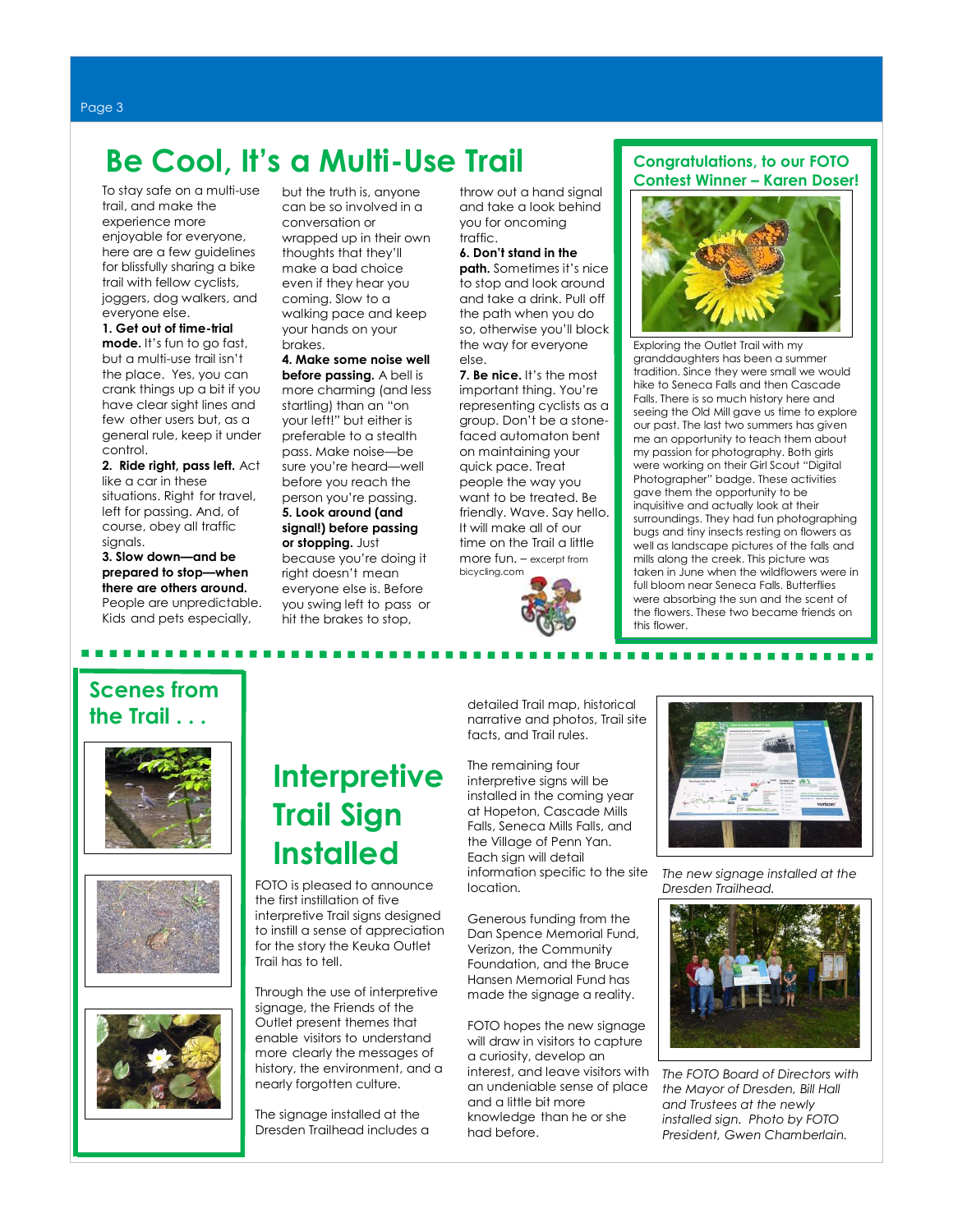I

## **Be Cool, It's a Multi-Use Trail**

To stay safe on a multi-use trail, and make the experience more enjoyable for everyone, here are a few guidelines for blissfully sharing a bike trail with fellow cyclists, joggers, dog walkers, and everyone else.

**1. Get out of time-trial mode.** It's fun to go fast, but a multi-use trail isn't the place. Yes, you can crank things up a bit if you have clear sight lines and few other users but, as a general rule, keep it under control.

**2. Ride right, pass left.** Act like a car in these situations. Right for travel, left for passing. And, of course, obey all traffic signals.

**3. Slow down—and be prepared to stop—when there are others around.** People are unpredictable. Kids and [pets](https://www.bicycling.com/training/injury-prevention/how-deal-aggressive-dogs-your-ride/) especially,

but the truth is, anyone can be so involved in a conversation or wrapped up in their own thoughts that they'll make a bad choice even if they hear you coming. Slow to a walking pace and keep your hands on your brakes.

#### **4. Make some noise well before passing.** [A bell is](https://www.bicycling.com/)  [more charming](https://www.bicycling.com/) (and less

startling) than an "on your left!" but either is preferable to a stealth pass. Make noise—be sure you're heard—well before you reach the person you're passing. **5. Look around (and signal!) before passing or stopping.** Just because you're doing it right doesn't mean everyone else is. Before you swing left to pass or [hit the brakes](https://www.bicycling.com/maintenance/bicycle-maintenance/how-maintain-rim-brakes/) to stop,

throw out a hand signal and take a look behind you for oncoming traffic.

#### **6. Don't stand in the**

**path.** Sometimes it's nice to stop and look around and [take a drink.](https://www.bicycling.com/video/3-surprising-hydration-mistakes/) Pull off the path when you do so, otherwise you'll block the way for everyone else.

**7. Be nice.** It's the most important thing. You're representing cyclists as a group. Don't be a stonefaced automaton bent on maintaining your quick pace. Treat people the way you want to be treated. Be friendly. Wave. Say hello. It will make all of our time on the Trail a little more fun. – excerpt from bicycling.com



### **Congratulations, to our FOTO Contest Winner – Karen Doser!**



Exploring the Outlet Trail with my granddaughters has been a summer tradition. Since they were small we would hike to Seneca Falls and then Cascade Falls. There is so much history here and seeing the Old Mill gave us time to explore our past. The last two summers has given me an opportunity to teach them about my passion for photography. Both girls were working on their Girl Scout "Digital Photographer" badge. These activities gave them the opportunity to be inquisitive and actually look at their surroundings. They had fun photographing bugs and tiny insects resting on flowers as well as landscape pictures of the falls and mills along the creek. This picture was taken in June when the wildflowers were in full bloom near Seneca Falls. Butterflies were absorbing the sun and the scent of the flowers. These two became friends on this flower.

### **Scenes from the Trail . . .**

. . . . . . . . .







## **Interpretive Trail Sign Installed**

FOTO is pleased to announce the first instillation of five interpretive Trail signs designed to instill a sense of appreciation for the story the Keuka Outlet Trail has to tell.

Through the use of interpretive signage, the Friends of the Outlet present themes that enable visitors to understand more clearly the messages of history, the environment, and a nearly forgotten culture.

The signage installed at the Dresden Trailhead includes a detailed Trail map, historical narrative and photos, Trail site facts, and Trail rules.

The remaining four interpretive signs will be installed in the coming year at Hopeton, Cascade Mills Falls, Seneca Mills Falls, and the Village of Penn Yan. Each sign will detail information specific to the site location.

Generous funding from the Dan Spence Memorial Fund, Verizon, the Community Foundation, and the Bruce Hansen Memorial Fund has made the signage a reality.

FOTO hopes the new signage will draw in visitors to capture a curiosity, develop an interest, and leave visitors with an undeniable sense of place and a little bit more knowledge than he or she had before.



*The new signage installed at the Dresden Trailhead.*



*The FOTO Board of Directors with the Mayor of Dresden, Bill Hall and Trustees at the newly installed sign. Photo by FOTO President, Gwen Chamberlain.*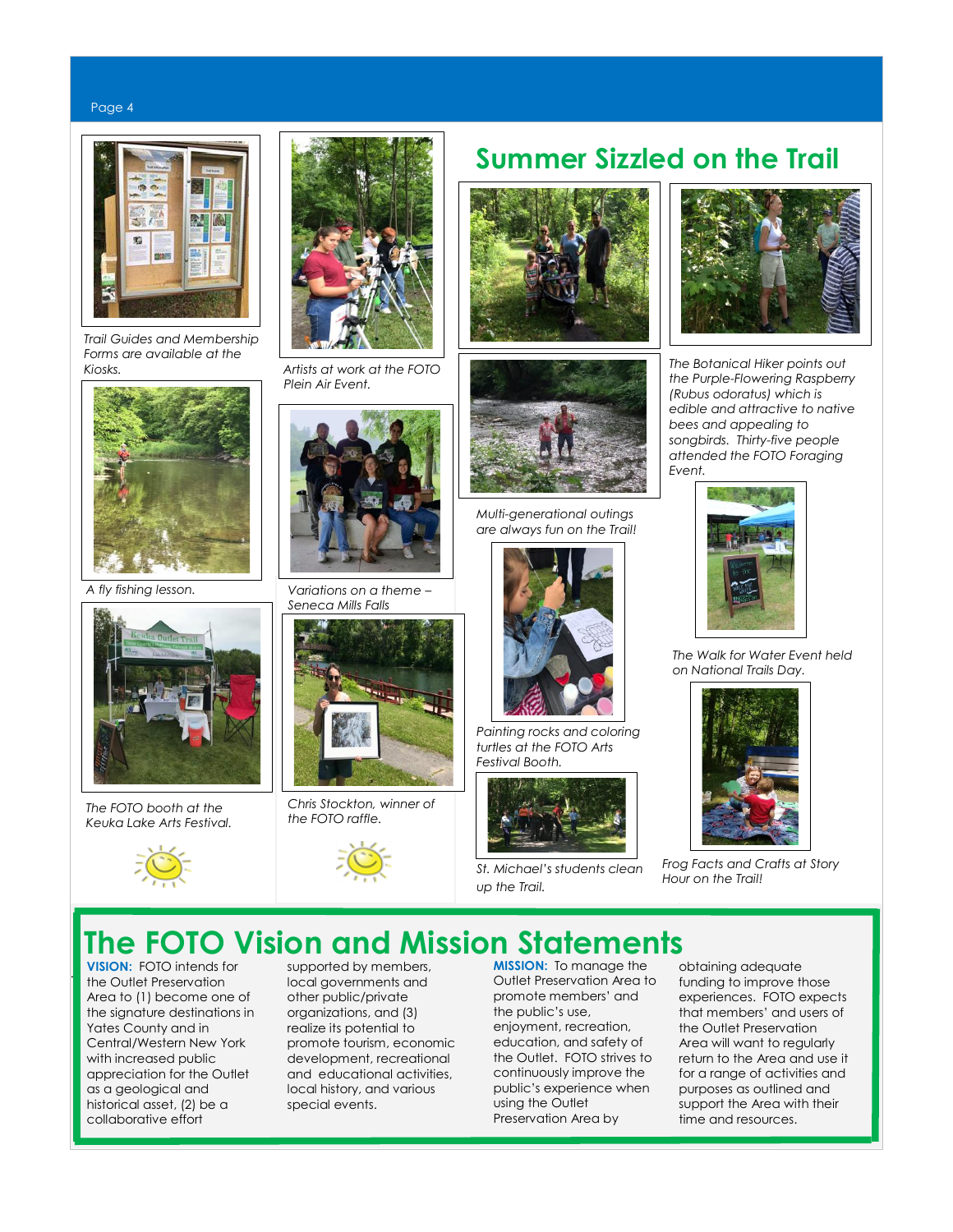#### Page 4



 *Trail Guides and Membership Forms are available at the Kiosks. Artists at work at the FOTO*



*A fly fishing lesson.*



*The FOTO booth at the Keuka Lake Arts Festival.*





 *Plein Air Event.*



*Variations on a theme – Seneca Mills Falls* 



*Chris Stockton, winner of the FOTO raffle.*









*Multi-generational outings are always fun on the Trail!*



*Painting rocks and coloring turtles at the FOTO Arts Festival Booth.*



*St. Michael's students clean up the Trail.*



 *The Botanical Hiker points out the Purple-Flowering Raspberry (Rubus odoratus) which is edible and attractive to native bees and appealing to songbirds. Thirty-five people attended the FOTO Foraging Event.*



 *The Walk for Water Event held on National Trails Day.*



*Frog Facts and Crafts at Story Hour on the Trail!*

### **The FOTO Vision and Mission Statements**

**VISION:** FOTO intends for the Outlet Preservation Area to (1) become one of the signature destinations in Yates County and in Central/Western New York with increased public appreciation for the Outlet as a geological and historical asset, (2) be a collaborative effort

..

supported by members, local governments and other public/private organizations, and (3) realize its potential to promote tourism, economic development, recreational and educational activities, local history, and various special events.

**MISSION:** To manage the Outlet Preservation Area to promote members' and the public's use, enjoyment, recreation, education, and safety of the Outlet. FOTO strives to continuously improve the public's experience when using the Outlet Preservation Area by

obtaining adequate funding to improve those *Event – Frog Facts* experiences. FOTO expects *and crafts.* that members' and users of the Outlet Preservation Area will want to regularly return to the Area and use it for a range of activities and purposes as outlined and support the Area with their time and resources.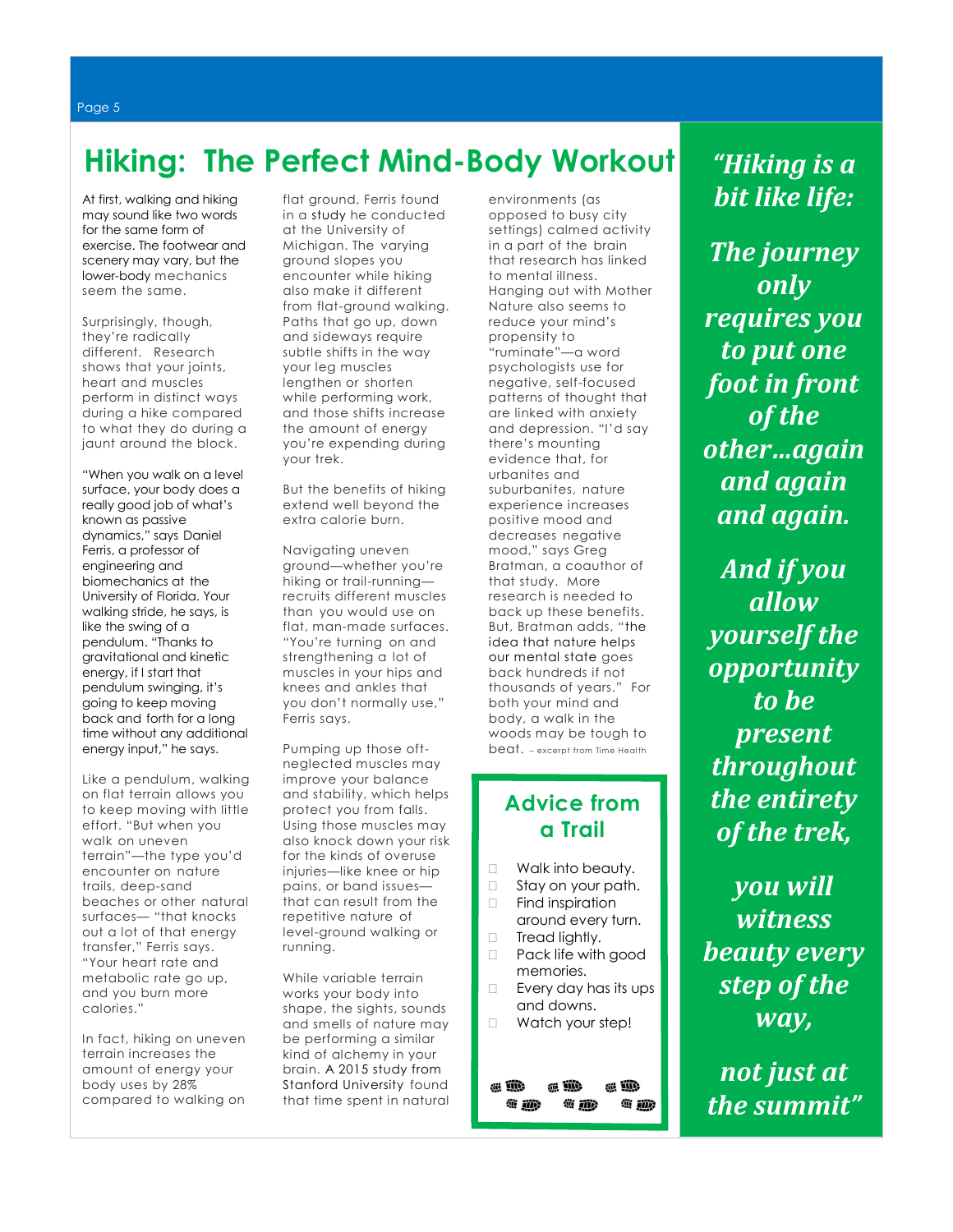## **Hiking: The Perfect Mind-Body Workout**

At first[, walking](http://time.com/3670210/benefits-walking-group-walk/) and hiking may sound like two words for the same form of exercise. The footwear and scenery may vary, but the lower-body mechanics seem the same.

Surprisingly, though, they're radically different. Research shows that your joints, heart and muscles perform in distinct ways during a hike compared to what they do during a jaunt around the block.

"When you walk on a level surface, your body does a really good job of what's known as passive dynamics," says Daniel Ferris, a professor of engineering and biomechanics at the University of Florida. Your walking stride, he says, is like the swing of a pendulum. "Thanks to gravitational and kinetic energy, if I start that pendulum swinging, it's going to keep moving back and forth for a long time without any additional energy input," he says.

Like a pendulum, walking on flat terrain allows you to keep moving with little effort. "But when you walk on uneven terrain"—the type you'd encounter on nature trails, deep-sand beaches or other natural surfaces— "that knocks out a lot of that energy transfer," Ferris says. "Your heart rate and metabolic rate go up, and you burn more calories."

In fact, hiking on uneven terrain increases the amount of energy your body uses by 28% compared to walking on flat ground, Ferris found in a [study](https://www.ncbi.nlm.nih.gov/pmc/articles/PMC4236228/) he conducted at the University of Michigan. The varying ground slopes you encounter while hiking also make it different from flat-ground walking. Paths that go up, down and sideways require subtle shifts in the way your leg muscles lengthen or shorten while performing work, and those shifts increase the amount of energy you're expending during your trek.

But the benefits of hiking extend well beyond the extra calorie burn.

Navigating uneven ground—whether you're hiking or trail-running recruits different muscles than you would use on flat, man-made surfaces. "You're turning on and strengthening a lot of muscles in your hips and knees and ankles that you don't normally use," Ferris says.

Pumping up those oftneglected muscles may improve your balance and stability, which helps protect you from falls. Using those muscles may also knock down your risk for the kinds of overuse injuries—like knee or hip pains, or band issues that can result from the repetitive nature of level-ground walking or running.

While variable terrain works your body into shape, the sights, sounds and smells of nature may be performing a similar kind of alchemy in your brain. [A 2015 study from](http://www.pnas.org/content/112/28/8567.abstract)  [Stanford University](http://www.pnas.org/content/112/28/8567.abstract) found that time spent in natural

environments (as opposed to busy city settings) calmed activity in a part of the brain that research has linked to mental illness. Hanging out with Mother Nature also seems to reduce your mind's propensity to "ruminate"—a word psychologists use for negative, self-focused patterns of thought that are linked with anxiety and depression. "I'd say there's mounting evidence that, for urbanites and suburbanites, nature experience increases positive mood and decreases negative mood," says Greg Bratman, a coauthor of that study. More research is needed to back up these benefits. But, Bratman adds, "[the](http://time.com/4405827/the-healing-power-of-nature/?iid=sr-link2)  [idea that nature helps](http://time.com/4405827/the-healing-power-of-nature/?iid=sr-link2)  [our mental state](http://time.com/4405827/the-healing-power-of-nature/?iid=sr-link2) goes back hundreds if not thousands of years." For both your mind and body, a walk in the woods may be tough to beat. – excerpt from Time Health

### **Advice from a Trail**

- □ Walk into beauty.
- □ Stay on your path. □ Find inspiration
- around every turn.
- □ Tread lightly.
- □ Pack life with good memories.
- $\Box$  Every day has its ups and downs.
- □ Watch your step!

画瓣 a il a iii 讏 識 **@ iii)** ◎ 孤 *"Hiking is a bit like life:*

*The journey only requires you to put one foot in front of the other…again and again and again.*

*And if you allow yourself the opportunity to be present throughout the entirety of the trek,*

*you will witness beauty every step of the way,*

*not just at the summit"*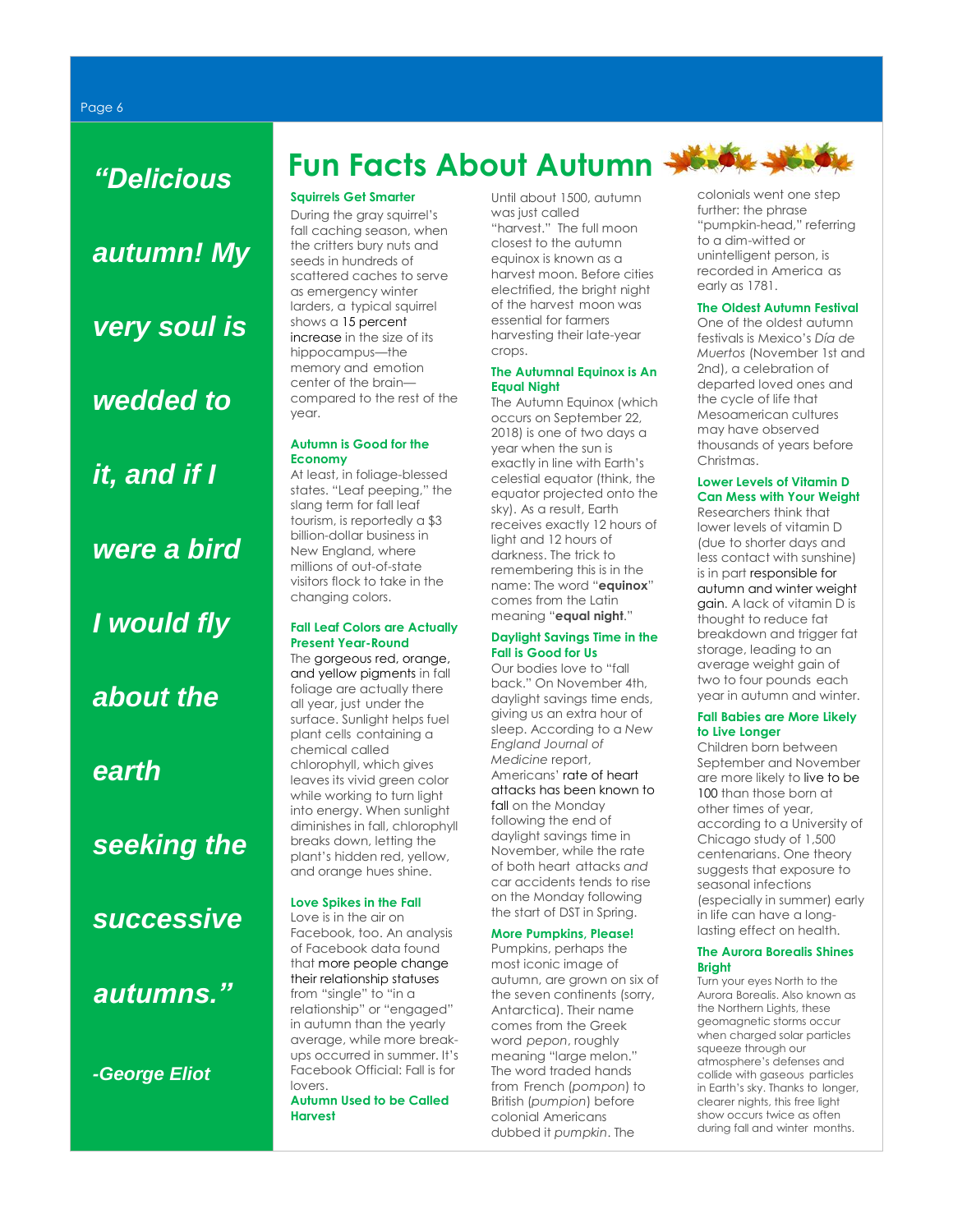*"Delicious autumn! My very soul is wedded to it, and if I were a bird I would fly about the earth seeking the successive* 

*autumns."*

*-George Eliot*

## **Fun Facts About Autumn**

### **Squirrels Get Smarter**

During the gray squirrel's fall caching season, when the critters bury nuts and seeds in hundreds of scattered caches to serve as emergency winter larders, a typical squirrel shows [a 15 percent](http://www.wildlifeonline.me.uk/questions_answers_squirrels.html)  [increase](http://www.wildlifeonline.me.uk/questions_answers_squirrels.html) in the size of its hippocampus—the memory and emotion center of the brain compared to the rest of the year.

### **Autumn is Good for the Economy**

At least, in foliage-blessed states. "Leaf peeping," the slang term for fall leaf tourism, is reportedly a \$3 billion-dollar business in New England, where millions of out-of-state visitors flock to take in the changing colors.

### **Fall Leaf Colors are Actually Present Year-Round**

The [gorgeous red, orange,](http://www.esf.edu/pubprog/brochure/leaves/leaves.htm)  [and yellow pigments](http://www.esf.edu/pubprog/brochure/leaves/leaves.htm) in fall foliage are actually there all year, just under the surface. Sunlight helps fuel plant cells containing a chemical called chlorophyll, which gives leaves its vivid green color while working to turn light into energy. When sunlight diminishes in fall, chlorophyll breaks down, letting the plant's hidden red, yellow, and orange hues shine.

### **Love Spikes in the Fall**

Love is in the air on Facebook, too. An analysis of Facebook data found tha[t more people change](https://www.facebook.com/notes/facebook-data-science/the-right-time-for-love-tracking-the-seasonality-of-relationship-formation/10150643989093859)  [their relationship statuses](https://www.facebook.com/notes/facebook-data-science/the-right-time-for-love-tracking-the-seasonality-of-relationship-formation/10150643989093859) from "single" to "in a relationship" or "engaged" in autumn than the yearly average, while more breakups occurred in summer. It's Facebook Official: Fall is for lovers.

**Autumn Used to be Called Harvest**

Until about 1500, autumn was just called "harvest." The full moon closest to the autumn equinox is known as a harvest moon. Before cities electrified, the bright night of the harvest moon was essential for farmers harvesting their late-year crops.

#### **The Autumnal Equinox is An Equal Night**

The Autumn Equinox (which occurs on September 22, 2018) is one of two days a year when the sun is exactly in line with Earth's celestial equator (think, the equator projected onto the sky). As a result, Earth receives exactly 12 hours of light and 12 hours of darkness. The trick to remembering this is in the name: The word "**equinox**" comes from the Latin meaning "**equal night**."

### **Daylight Savings Time in the Fall is Good for Us**

Our bodies love to "fall back." On November 4th, daylight savings time ends, giving us an extra hour of sleep. According to a *New England Journal of Medicine* report, Americans' [rate of heart](http://www.health.harvard.edu/blog/fall-back-from-daylight-savings-time-may-be-good-for-the-heart-201111043760)  [attacks has been known to](http://www.health.harvard.edu/blog/fall-back-from-daylight-savings-time-may-be-good-for-the-heart-201111043760)  [fall](http://www.health.harvard.edu/blog/fall-back-from-daylight-savings-time-may-be-good-for-the-heart-201111043760) on the Monday following the end of daylight savings time in November, while the rate of both heart attacks *and* car accidents tends to rise on the Monday following the start of DST in Spring.

### **More Pumpkins, Please!**

Pumpkins, perhaps the most iconic image of autumn, are grown on six of the seven continents (sorry, Antarctica). Their name comes from the Greek word *pepon*, roughly meaning "large melon." The word traded hands from French (*pompon*) to British (*pumpion*) before colonial Americans dubbed it *pumpkin*. The

colonials went one step further: the phrase "pumpkin-head," referring to a dim-witted or unintelligent person, is recorded in America as early as 1781.

### **The Oldest Autumn Festival**

One of the oldest autumn festivals is Mexico's *Día de Muertos* (November 1st and 2nd), a celebration of departed loved ones and the cycle of life that Mesoamerican cultures may have observed thousands of years before Christmas.

### **Lower Levels of Vitamin D Can Mess with Your Weight**

Researchers think that lower levels of vitamin D (due to shorter days and less contact with sunshine) is in part [responsible for](http://www.dailymail.co.uk/health/article-2052975/Why-fatter-winter--eat-LESS.html)  [autumn and winter weight](http://www.dailymail.co.uk/health/article-2052975/Why-fatter-winter--eat-LESS.html)  [gain.](http://www.dailymail.co.uk/health/article-2052975/Why-fatter-winter--eat-LESS.html) A lack of vitamin D is thought to reduce fat breakdown and trigger fat storage, leading to an average weight gain of two to four pounds each year in autumn and winter.

### **Fall Babies are More Likely to Live Longer**

Children born between September and November are more likely t[o live to be](https://www.newscientist.com/article/dn22054-autumn-babies-more-likely-to-hit-100#.U9gSn4XNo7A)  [100](https://www.newscientist.com/article/dn22054-autumn-babies-more-likely-to-hit-100#.U9gSn4XNo7A) than those born at other times of year, according to a University of Chicago study of 1,500 centenarians. One theory suggests that exposure to seasonal infections (especially in summer) early in life can have a longlasting effect on health.

### **The Aurora Borealis Shines Bright**

Turn your eyes North to the Aurora Borealis. Also known as the Northern Lights, these geomagnetic storms occur when charged solar particles squeeze through our atmosphere's defenses and collide with gaseous particles in Earth's sky. Thanks to longer, clearer nights, this free light show occurs twice as often during fall and winter months.

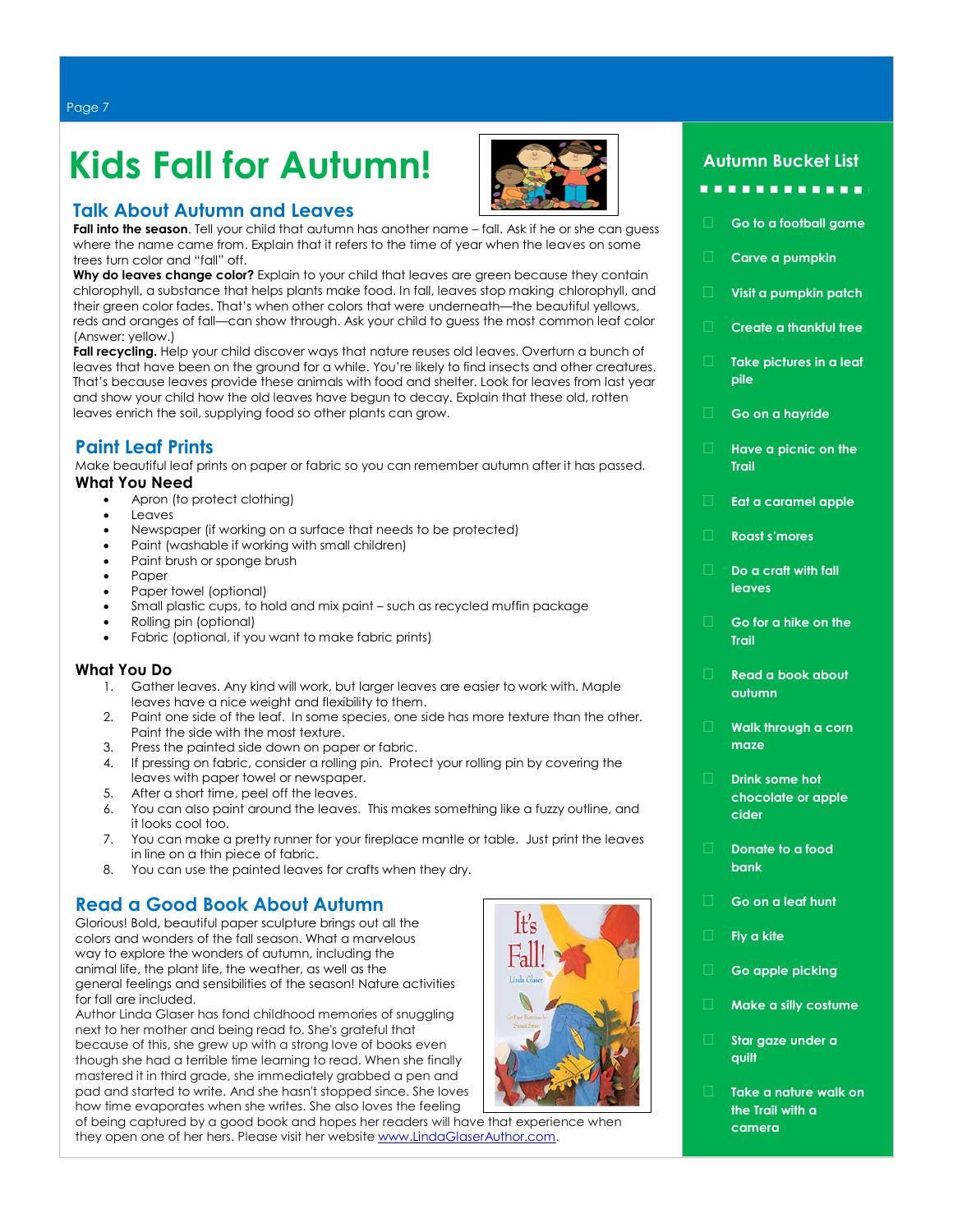**Kids Fall for Autumn!** 



### **Talk About Autumn and Leaves**

**Fall into the season**. Tell your child that autumn has another name – fall. Ask if he or she can guess where the name came from. Explain that it refers to the time of year when the leaves on some trees turn color and "fall" off.

**Why do leaves change color?** Explain to your child that leaves are green because they contain chlorophyll, a substance that helps plants make food. In fall, leaves stop making chlorophyll, and their green color fades. That's when other colors that were underneath—the beautiful yellows, reds and oranges of fall—can show through. Ask your child to guess the most common leaf color (Answer: yellow.)

**Fall recycling.** Help your child discover ways that nature reuses old leaves. Overturn a bunch of leaves that have been on the ground for a while. You're likely to find insects and other creatures. That's because leaves provide these animals with food and shelter. Look for leaves from last year and show your child how the old leaves have begun to decay. Explain that these old, rotten leaves enrich the soil, supplying food so other plants can grow.

### **Paint Leaf Prints**

Make beautiful leaf prints on paper or fabric so you can remember autumn after it has passed. **What You Need**

- Apron (to protect clothing)
- **Leaves**
- Newspaper (if working on a surface that needs to be protected)
- Paint (washable if working with small children)
- Paint brush or sponge brush
- Paper
- Paper towel (optional)
- Small plastic cups, to hold and mix paint such as recycled muffin package
- Rolling pin (optional)
- Fabric (optional, if you want to make fabric prints)

### **What You Do**

- 1. Gather leaves. Any kind will work, but larger leaves are easier to work with. Maple leaves have a nice weight and flexibility to them.
- 2. Paint one side of the leaf. In some species, one side has more texture than the other. Paint the side with the most texture.
- 3. Press the painted side down on paper or fabric.
- 4. If pressing on fabric, consider a rolling pin. Protect your rolling pin by covering the leaves with paper towel or newspaper.
- 5. After a short time, peel off the leaves.
- 6. You can also paint around the leaves. This makes something like a fuzzy outline, and it looks cool too.
- 7. You can make a pretty runner for your fireplace mantle or table. Just print the leaves in line on a thin piece of fabric.
- 8. You can use the painted leaves for crafts when they dry.

### **Read a Good Book About Autumn**

Glorious! Bold, beautiful paper sculpture brings out all the colors and wonders of the fall season. What a marvelous way to explore the wonders of autumn, including the animal life, the plant life, the weather, as well as the general feelings and sensibilities of the season! Nature activities for fall are included.

Author Linda Glaser has fond childhood memories of snuggling next to her mother and being read to. She's grateful that because of this, she grew up with a strong love of books even though she had a terrible time learning to read. When she finally mastered it in third grade, she immediately grabbed a pen and pad and started to write. And she hasn't stopped since. She loves how time evaporates when she writes. She also loves the feeling

of being captured by a good book and hopes her readers will have that experience when they open one of her hers. Please visit her website [www.LindaGlaserAuthor.com.](http://www.lindaglaserauthor.com/)



### **Autumn Bucket List**

### . . . . . . . . . . . .

- **Go to a football game**
- **Carve a pumpkin**
- **Visit a pumpkin patch**
- **Create a thankful tree**
- **Take pictures in a leaf pile**
- **Go on a hayride**
- **Have a picnic on the Trail**
- **Eat a caramel apple**
- **Roast s'mores**
- **Do a craft with fall leaves**
- **Go for a hike on the Trail**
- **Read a book about autumn**
- **Walk through a corn maze**
- **Drink some hot chocolate or apple cider**
- **Donate to a food bank**
- **Go on a leaf hunt**
- **Fly a kite**
- **Go apple picking**
- **Make a silly costume**
- **Star gaze under a quilt**
- **Take a nature walk on the Trail with a camera**